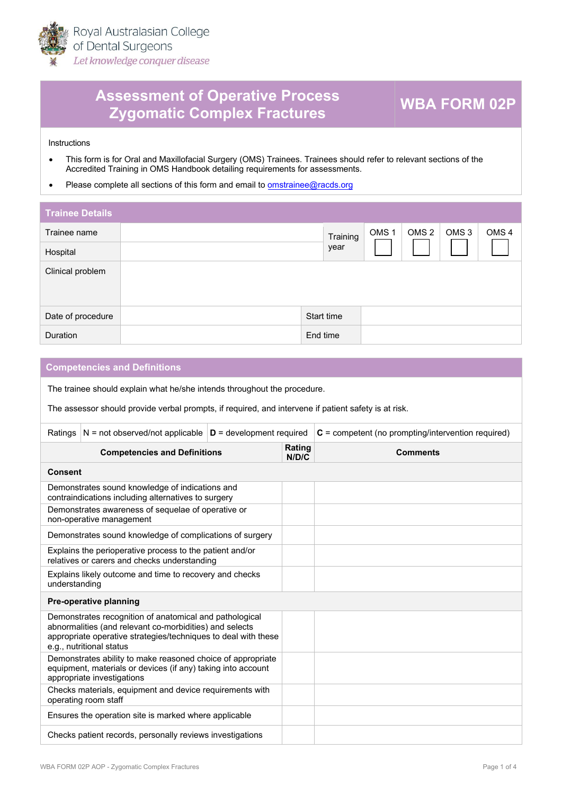

## **Assessment of Operative Process Zygomatic Complex Fractures WBA FORM 02P**

**Instructions** 

- This form is for Oral and Maxillofacial Surgery (OMS) Trainees. Trainees should refer to relevant sections of the [Accredi](https://racds.org/accredited-training-in-oms-handbook/)ted Training in OMS Handbook detailing requirements for assessments.
- Please complete all sections of this form and email to **om[strainee@racds.org](mailto:omstrainee@racds.org)**

| <b>Trainee Details</b> |            |          |                  |                  |                  |                  |
|------------------------|------------|----------|------------------|------------------|------------------|------------------|
| Trainee name           |            | Training | OMS <sub>1</sub> | OMS <sub>2</sub> | OMS <sub>3</sub> | OMS <sub>4</sub> |
| Hospital               |            | year     |                  |                  |                  |                  |
| Clinical problem       |            |          |                  |                  |                  |                  |
| Date of procedure      | Start time |          |                  |                  |                  |                  |
| Duration               | End time   |          |                  |                  |                  |                  |

## **Competencies and Definitions**

The trainee should explain what he/she intends throughout the procedure.

The assessor should provide verbal prompts, if required, and intervene if patient safety is at risk.

| Ratings                                                                                                                                                   | $N = not observed/not applicable \nvert D = development required$                                                                                                                                                |                 |                 | $C =$ competent (no prompting/intervention required) |  |  |
|-----------------------------------------------------------------------------------------------------------------------------------------------------------|------------------------------------------------------------------------------------------------------------------------------------------------------------------------------------------------------------------|-----------------|-----------------|------------------------------------------------------|--|--|
| <b>Competencies and Definitions</b>                                                                                                                       |                                                                                                                                                                                                                  | Rating<br>N/D/C | <b>Comments</b> |                                                      |  |  |
|                                                                                                                                                           | <b>Consent</b>                                                                                                                                                                                                   |                 |                 |                                                      |  |  |
| Demonstrates sound knowledge of indications and<br>contraindications including alternatives to surgery                                                    |                                                                                                                                                                                                                  |                 |                 |                                                      |  |  |
|                                                                                                                                                           | Demonstrates awareness of sequelae of operative or<br>non-operative management                                                                                                                                   |                 |                 |                                                      |  |  |
|                                                                                                                                                           | Demonstrates sound knowledge of complications of surgery                                                                                                                                                         |                 |                 |                                                      |  |  |
|                                                                                                                                                           | Explains the perioperative process to the patient and/or<br>relatives or carers and checks understanding                                                                                                         |                 |                 |                                                      |  |  |
| Explains likely outcome and time to recovery and checks<br>understanding                                                                                  |                                                                                                                                                                                                                  |                 |                 |                                                      |  |  |
|                                                                                                                                                           | Pre-operative planning                                                                                                                                                                                           |                 |                 |                                                      |  |  |
|                                                                                                                                                           | Demonstrates recognition of anatomical and pathological<br>abnormalities (and relevant co-morbidities) and selects<br>appropriate operative strategies/techniques to deal with these<br>e.g., nutritional status |                 |                 |                                                      |  |  |
| Demonstrates ability to make reasoned choice of appropriate<br>equipment, materials or devices (if any) taking into account<br>appropriate investigations |                                                                                                                                                                                                                  |                 |                 |                                                      |  |  |
| Checks materials, equipment and device requirements with<br>operating room staff                                                                          |                                                                                                                                                                                                                  |                 |                 |                                                      |  |  |
| Ensures the operation site is marked where applicable                                                                                                     |                                                                                                                                                                                                                  |                 |                 |                                                      |  |  |
| Checks patient records, personally reviews investigations                                                                                                 |                                                                                                                                                                                                                  |                 |                 |                                                      |  |  |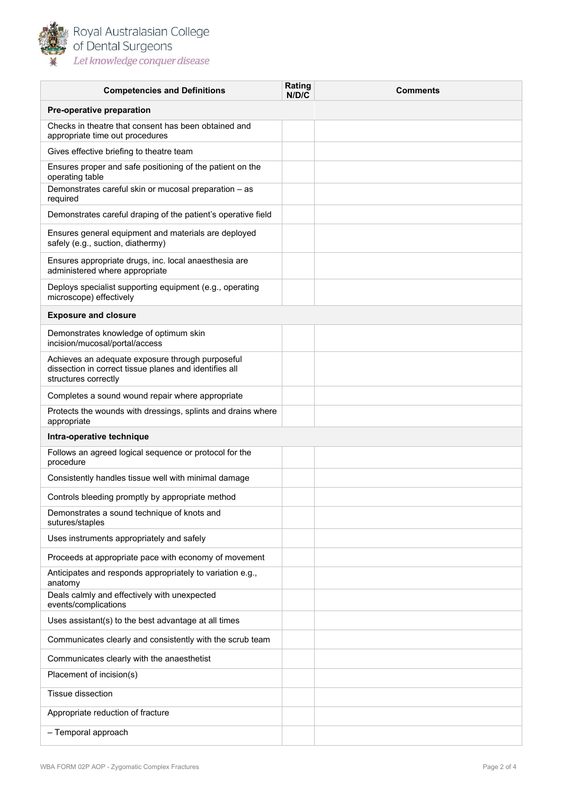

| <b>Competencies and Definitions</b>                                                                                                | Rating<br>N/D/C | <b>Comments</b> |  |
|------------------------------------------------------------------------------------------------------------------------------------|-----------------|-----------------|--|
| Pre-operative preparation                                                                                                          |                 |                 |  |
| Checks in theatre that consent has been obtained and<br>appropriate time out procedures                                            |                 |                 |  |
| Gives effective briefing to theatre team                                                                                           |                 |                 |  |
| Ensures proper and safe positioning of the patient on the<br>operating table                                                       |                 |                 |  |
| Demonstrates careful skin or mucosal preparation - as<br>required                                                                  |                 |                 |  |
| Demonstrates careful draping of the patient's operative field                                                                      |                 |                 |  |
| Ensures general equipment and materials are deployed<br>safely (e.g., suction, diathermy)                                          |                 |                 |  |
| Ensures appropriate drugs, inc. local anaesthesia are<br>administered where appropriate                                            |                 |                 |  |
| Deploys specialist supporting equipment (e.g., operating<br>microscope) effectively                                                |                 |                 |  |
| <b>Exposure and closure</b>                                                                                                        |                 |                 |  |
| Demonstrates knowledge of optimum skin<br>incision/mucosal/portal/access                                                           |                 |                 |  |
| Achieves an adequate exposure through purposeful<br>dissection in correct tissue planes and identifies all<br>structures correctly |                 |                 |  |
| Completes a sound wound repair where appropriate                                                                                   |                 |                 |  |
| Protects the wounds with dressings, splints and drains where<br>appropriate                                                        |                 |                 |  |
| Intra-operative technique                                                                                                          |                 |                 |  |
| Follows an agreed logical sequence or protocol for the<br>procedure                                                                |                 |                 |  |
| Consistently handles tissue well with minimal damage                                                                               |                 |                 |  |
| Controls bleeding promptly by appropriate method                                                                                   |                 |                 |  |
| Demonstrates a sound technique of knots and<br>sutures/staples                                                                     |                 |                 |  |
| Uses instruments appropriately and safely                                                                                          |                 |                 |  |
| Proceeds at appropriate pace with economy of movement                                                                              |                 |                 |  |
| Anticipates and responds appropriately to variation e.g.,<br>anatomy                                                               |                 |                 |  |
| Deals calmly and effectively with unexpected<br>events/complications                                                               |                 |                 |  |
| Uses assistant(s) to the best advantage at all times                                                                               |                 |                 |  |
| Communicates clearly and consistently with the scrub team                                                                          |                 |                 |  |
| Communicates clearly with the anaesthetist                                                                                         |                 |                 |  |
| Placement of incision(s)                                                                                                           |                 |                 |  |
| Tissue dissection                                                                                                                  |                 |                 |  |
| Appropriate reduction of fracture                                                                                                  |                 |                 |  |
| - Temporal approach                                                                                                                |                 |                 |  |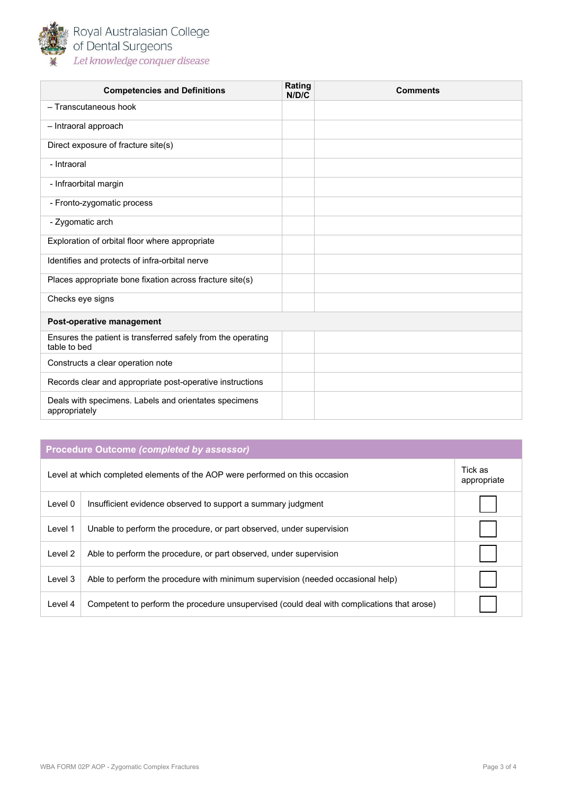

| <b>Competencies and Definitions</b>                                          | Rating<br>N/D/C | <b>Comments</b> |  |  |
|------------------------------------------------------------------------------|-----------------|-----------------|--|--|
| - Transcutaneous hook                                                        |                 |                 |  |  |
| - Intraoral approach                                                         |                 |                 |  |  |
| Direct exposure of fracture site(s)                                          |                 |                 |  |  |
| - Intraoral                                                                  |                 |                 |  |  |
| - Infraorbital margin                                                        |                 |                 |  |  |
| - Fronto-zygomatic process                                                   |                 |                 |  |  |
| - Zygomatic arch                                                             |                 |                 |  |  |
| Exploration of orbital floor where appropriate                               |                 |                 |  |  |
| Identifies and protects of infra-orbital nerve                               |                 |                 |  |  |
| Places appropriate bone fixation across fracture site(s)                     |                 |                 |  |  |
| Checks eye signs                                                             |                 |                 |  |  |
| Post-operative management                                                    |                 |                 |  |  |
| Ensures the patient is transferred safely from the operating<br>table to bed |                 |                 |  |  |
| Constructs a clear operation note                                            |                 |                 |  |  |
| Records clear and appropriate post-operative instructions                    |                 |                 |  |  |
| Deals with specimens. Labels and orientates specimens<br>appropriately       |                 |                 |  |  |

## **Procedure Outcome** *(completed by assessor)*

| Level at which completed elements of the AOP were performed on this occasion |                                                                                            |  |  |
|------------------------------------------------------------------------------|--------------------------------------------------------------------------------------------|--|--|
| Level 0                                                                      | Insufficient evidence observed to support a summary judgment                               |  |  |
| Level 1                                                                      | Unable to perform the procedure, or part observed, under supervision                       |  |  |
| Level 2                                                                      | Able to perform the procedure, or part observed, under supervision                         |  |  |
| Level 3                                                                      | Able to perform the procedure with minimum supervision (needed occasional help)            |  |  |
| Level 4                                                                      | Competent to perform the procedure unsupervised (could deal with complications that arose) |  |  |